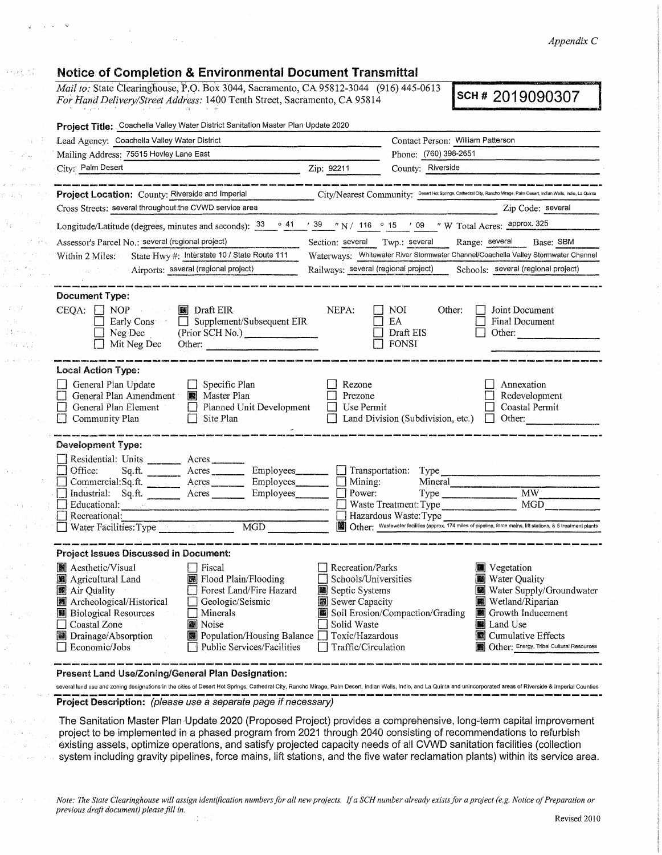*Appendix C* 

## **Notice of Completion & Environmental Document Transmittal**

**Contract Contract** 

 $\sim 10^{-11}$ 

 $\alpha$  ,  $\beta$  ,  $\gamma$  ,

450 PM

 $\sqrt{2}$  ,  $\sqrt{2}$ 

ija (m.  $\hat{p}$  ,  $\hat{p}_{\rm{in}}$  ,  $\hat{p}_{\rm{out}}$  ,  $\hat{p}_{\rm{out}}$ 

 $\sim 100\,E$ 

 $3.500$  $\mathbb{R}^2$  and  $\mathbb{R}$ .<br>De skriver en p

*Mail to: State Clearinghouse, P.O. Box 3044, Sacramento, CA 95812-3044 (916) 445-0613 For Hand Delivery/Street Address:* 1400 Tenth Street, Sacramento, CA 95814 **SCH # 2019090307** 

| Project Title: Coachella Valley Water District Sanitation Master Plan Update 2020                                                                                                                                                                                                                                                                                                          |                                                                                                                                                                                                                                                                                                                                                                                                        |  |  |
|--------------------------------------------------------------------------------------------------------------------------------------------------------------------------------------------------------------------------------------------------------------------------------------------------------------------------------------------------------------------------------------------|--------------------------------------------------------------------------------------------------------------------------------------------------------------------------------------------------------------------------------------------------------------------------------------------------------------------------------------------------------------------------------------------------------|--|--|
| Lead Agency: Coachella Valley Water District                                                                                                                                                                                                                                                                                                                                               | Contact Person: William Patterson                                                                                                                                                                                                                                                                                                                                                                      |  |  |
| Mailing Address: 75515 Hovley Lane East                                                                                                                                                                                                                                                                                                                                                    | Phone: (760) 398-2651                                                                                                                                                                                                                                                                                                                                                                                  |  |  |
| City: Palm Desert                                                                                                                                                                                                                                                                                                                                                                          | County: Riverside<br>Zip: 92211                                                                                                                                                                                                                                                                                                                                                                        |  |  |
| .<br>In the most color trade to a compare the series and a series of the series of the series of the series of the                                                                                                                                                                                                                                                                         |                                                                                                                                                                                                                                                                                                                                                                                                        |  |  |
| Project Location: County: Riverside and Imperial                                                                                                                                                                                                                                                                                                                                           | City/Nearest Community: Desert Hot Springs, Cathedral City, Rancho Mirage, Palm Desert, Indian Wells, Indio, La Quinta                                                                                                                                                                                                                                                                                 |  |  |
| Cross Streets: several throughout the CVWD service area                                                                                                                                                                                                                                                                                                                                    | Zip Code: several                                                                                                                                                                                                                                                                                                                                                                                      |  |  |
|                                                                                                                                                                                                                                                                                                                                                                                            | Longitude/Latitude (degrees, minutes and seconds): $\frac{33}{9}$ $\circ$ 41 $\prime$ 39 $\prime$ N / 116 $\circ$ 15 $\prime$ 09 $\prime$ W Total Acres: approx. 325                                                                                                                                                                                                                                   |  |  |
| Assessor's Parcel No.: several (regional project)                                                                                                                                                                                                                                                                                                                                          | Range: several Base: SBM<br>Section: several Twp.: several                                                                                                                                                                                                                                                                                                                                             |  |  |
| State Hwy #: Interstate 10 / State Route 111<br>Within 2 Miles:                                                                                                                                                                                                                                                                                                                            | Waterways: Whitewater River Stormwater Channel/Coachella Valley Stormwater Channel                                                                                                                                                                                                                                                                                                                     |  |  |
| Airports: several (regional project)                                                                                                                                                                                                                                                                                                                                                       | Railways: several (regional project) Schools: several (regional project)                                                                                                                                                                                                                                                                                                                               |  |  |
| Document Type:<br>$CEQA: \Box NP$<br>Draft EIR<br>$\alpha$ and $\alpha$ and $\alpha$<br>Early Cons Complement/Subsequent EIR<br>Neg Dec<br>(Prior SCH No.)<br>Mit Neg Dec<br>Other:                                                                                                                                                                                                        | NEPA:<br>NOI<br>Other:<br>Joint Document<br>EA<br>Final Document<br>Draft EIS<br>Other:<br><b>FONSI</b>                                                                                                                                                                                                                                                                                                |  |  |
| <b>Local Action Type:</b><br>General Plan Update<br>$\Box$ Specific Plan<br>General Plan Amendment <b>18</b> Master Plan<br>General Plan Element<br>$\Box$ Planned Unit Development<br>$\mathcal{L} = \mathcal{L} \mathcal{L}$<br>$\Box$ Site Plan<br>Community Plan                                                                                                                       | Rezone<br>Annexation<br>Prezone<br>Redevelopment<br>Use Permit<br>Coastal Permit<br>$\perp$<br>Other: $\qquad \qquad$<br>Land Division (Subdivision, etc.)                                                                                                                                                                                                                                             |  |  |
| <b>Development Type:</b>                                                                                                                                                                                                                                                                                                                                                                   |                                                                                                                                                                                                                                                                                                                                                                                                        |  |  |
| Residential: Units ________ Acres<br>Office:<br>Industrial: Sq.ft. <u>Acres</u> Acres Employees<br>Educational: <u>Alexander School and School and School and School and School and School and School and School and School and School and School and School and School and School and School and School and School and School and </u><br>Recreational:<br>Water Facilities: Type MGD MGD | Sq.ft. Acres Employees Employees Transportation: Type<br>$\Box$ Mining:<br>Mineral<br>Power:<br>MGD<br>Waste Treatment: Type<br>Hazardous Waste: Type<br>Other: Wastewater facilities (approx. 174 miles of pipeline, force mains, lift stations, & 5 treatment plants                                                                                                                                 |  |  |
| <b>Project Issues Discussed in Document:</b>                                                                                                                                                                                                                                                                                                                                               |                                                                                                                                                                                                                                                                                                                                                                                                        |  |  |
| <b>■</b> Aesthetic/Visual<br>  Fiscal<br>Agricultural Land Man Flood Plain/Flooding<br>Air Quality<br>Forest Land/Fire Hazard<br>■ Archeological/Historical □ Geologic/Seismic<br><b>B</b> Biological Resources<br>Minerals<br>Coastal Zone<br><b>Noise</b><br>Drainage/Absorption<br><b>Population/Housing Balance</b><br>Public Services/Facilities<br>Economic/Jobs                     | Recreation/Parks<br><b>W</b> Vegetation<br>Schools/Universities<br><b>W</b> Water Quality<br>Water Supply/Groundwater<br>Septic Systems<br>Sewer Capacity<br><b>Wetland/Riparian</b><br>Soil Erosion/Compaction/Grading<br>Growth Inducement<br>Land Use<br>Solid Waste<br>Toxic/Hazardous<br><b>E</b> Cumulative Effects<br><b>66</b> Other: Energy, Tribal Cultural Resources<br>Traffic/Circulation |  |  |
| Present Land Use/Zoning/General Plan Designation:                                                                                                                                                                                                                                                                                                                                          |                                                                                                                                                                                                                                                                                                                                                                                                        |  |  |

several land use and zoning designations in the cities of Desert Hot Springs, Cathedral City, Rancho Mirage, Palm Desert, Indian Wells, Indio, and La Quinta and unincorporated areas of Riverside & Imperial **Project Description:** (please use a separate page if necessary)

The Sanitation Master Plan -Update 2020 (Proposed Project) provides a comprehensive, long-term capital improvement project to be implemented in a phased program from 2021 through 2040 consisting of recommendations to refurbish existing assets, optimize operations, and satisfy projected capacity needs of all CVWD sanitation facilities (collection system including gravity pipelines, force mains, lift stations, and the five water reclamation plants) within its service area.

*Note: The State Clearinghouse will assign identification numbers for all new projects. /fa SCH nwnber already exists.for a project (e.g. Notice of Preparation or previous draft document) please fill in.*